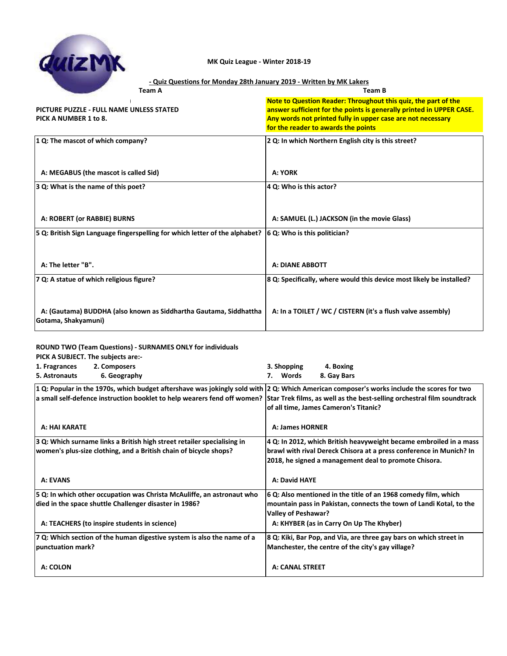

#### **- Quiz Questions for Monday 28th January 2019 - Written by MK Lakers**

| <b>Team A</b>                                                                            | <b>Team B</b>                                                                                                                                                                                                                                |
|------------------------------------------------------------------------------------------|----------------------------------------------------------------------------------------------------------------------------------------------------------------------------------------------------------------------------------------------|
| PICTURE PUZZLE - FULL NAME UNLESS STATED<br>PICK A NUMBER 1 to 8.                        | Note to Question Reader: Throughout this quiz, the part of the<br>answer sufficient for the points is generally printed in UPPER CASE.<br>Any words not printed fully in upper case are not necessary<br>for the reader to awards the points |
| 1 Q: The mascot of which company?                                                        | 2 Q: In which Northern English city is this street?                                                                                                                                                                                          |
| A: MEGABUS (the mascot is called Sid)                                                    | A: YORK                                                                                                                                                                                                                                      |
| 3 Q: What is the name of this poet?                                                      | 4 Q: Who is this actor?                                                                                                                                                                                                                      |
| A: ROBERT (or RABBIE) BURNS                                                              | A: SAMUEL (L.) JACKSON (in the movie Glass)                                                                                                                                                                                                  |
| 5 Q: British Sign Language fingerspelling for which letter of the alphabet?              | 6 Q: Who is this politician?                                                                                                                                                                                                                 |
| A: The letter "B".                                                                       | <b>A: DIANE ABBOTT</b>                                                                                                                                                                                                                       |
| 7 Q: A statue of which religious figure?                                                 | 8 Q: Specifically, where would this device most likely be installed?                                                                                                                                                                         |
| A: (Gautama) BUDDHA (also known as Siddhartha Gautama, Siddhattha<br>Gotama, Shakyamuni) | A: In a TOILET / WC / CISTERN (it's a flush valve assembly)                                                                                                                                                                                  |

### **ROUND TWO (Team Questions) - SURNAMES ONLY for individuals**

| PICK A SUBJECT. The subjects are:-                                                                                                               |                                                                     |
|--------------------------------------------------------------------------------------------------------------------------------------------------|---------------------------------------------------------------------|
| 2. Composers<br>1. Fragrances                                                                                                                    | 3. Shopping<br>4. Boxing                                            |
| 5. Astronauts<br>6. Geography                                                                                                                    | 7. Words<br>8. Gay Bars                                             |
| 1 Q: Popular in the 1970s, which budget aftershave was jokingly sold with   2 Q: Which American composer's works include the scores for two      |                                                                     |
| a small self-defence instruction booklet to help wearers fend off women? Star Trek films, as well as the best-selling orchestral film soundtrack |                                                                     |
|                                                                                                                                                  | of all time, James Cameron's Titanic?                               |
| A: HAI KARATE                                                                                                                                    | <b>A: James HORNER</b>                                              |
| 3 Q: Which surname links a British high street retailer specialising in                                                                          | 4 Q: In 2012, which British heavyweight became embroiled in a mass  |
| women's plus-size clothing, and a British chain of bicycle shops?                                                                                | brawl with rival Dereck Chisora at a press conference in Munich? In |
|                                                                                                                                                  | 2018, he signed a management deal to promote Chisora.               |
| <b>A: EVANS</b>                                                                                                                                  | A: David HAYE                                                       |
| 5 Q: In which other occupation was Christa McAuliffe, an astronaut who                                                                           | 6 Q: Also mentioned in the title of an 1968 comedy film, which      |
| died in the space shuttle Challenger disaster in 1986?                                                                                           | mountain pass in Pakistan, connects the town of Landi Kotal, to the |
|                                                                                                                                                  | <b>Valley of Peshawar?</b>                                          |
| A: TEACHERS (to inspire students in science)                                                                                                     | A: KHYBER (as in Carry On Up The Khyber)                            |
| 7 Q: Which section of the human digestive system is also the name of a                                                                           | 8 Q: Kiki, Bar Pop, and Via, are three gay bars on which street in  |
| <b>punctuation mark?</b>                                                                                                                         | Manchester, the centre of the city's gay village?                   |
| A: COLON                                                                                                                                         | <b>A: CANAL STREET</b>                                              |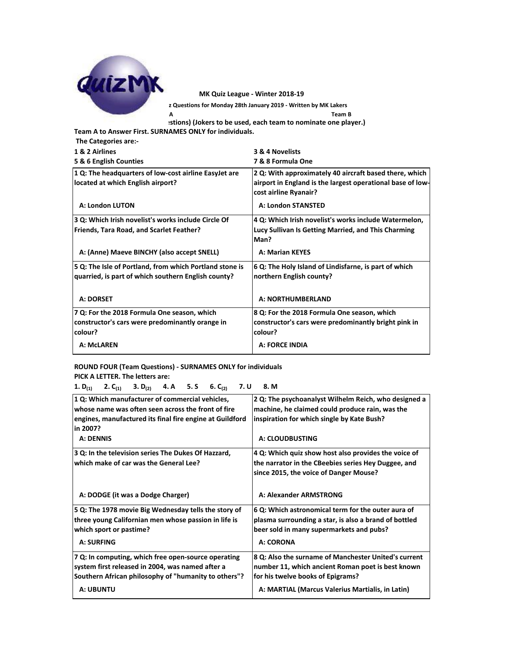

**- Quiz Questions for Monday 28th January 2019 - Written by MK Lakers**

**Team A Team B**

**ROUND THREE (INDIVIDUAL STATE (IDDIVIDUAL A)** (Jokers to be used, each team to nominate one player.)

**Team A to Answer First. SURNAMES ONLY for individuals.**

 **The Categories are:-**

| 1 & 2 Airlines                                          | 3 & 4 Novelists                                            |
|---------------------------------------------------------|------------------------------------------------------------|
| 5 & 6 English Counties                                  | 7 & 8 Formula One                                          |
| 1 Q: The headquarters of low-cost airline EasyJet are   | 2 Q: With approximately 40 aircraft based there, which     |
| located at which English airport?                       | airport in England is the largest operational base of low- |
|                                                         | cost airline Ryanair?                                      |
| A: London LUTON                                         | <b>A: London STANSTED</b>                                  |
| 3 Q: Which Irish novelist's works include Circle Of     | 4 Q: Which Irish novelist's works include Watermelon,      |
| <b>Friends, Tara Road, and Scarlet Feather?</b>         | Lucy Sullivan Is Getting Married, and This Charming        |
|                                                         | Man?                                                       |
| A: (Anne) Maeve BINCHY (also accept SNELL)              | <b>A: Marian KEYES</b>                                     |
| 5 Q: The Isle of Portland, from which Portland stone is | 6 Q: The Holy Island of Lindisfarne, is part of which      |
| quarried, is part of which southern English county?     | northern English county?                                   |
| A: DORSET                                               | A: NORTHUMBERLAND                                          |
| 7 Q: For the 2018 Formula One season, which             | 8 Q: For the 2018 Formula One season, which                |
| constructor's cars were predominantly orange in         | constructor's cars were predominantly bright pink in       |
| colour?                                                 | colour?                                                    |
| A: McLAREN                                              | <b>A: FORCE INDIA</b>                                      |

**ROUND FOUR (Team Questions) - SURNAMES ONLY for individuals PICK A LETTER. The letters are:**

**1. D(1) 2. C(1) 3. D(2) 4. A 5. S 6. C(2) 7. U 8. M**

| 1 Q: Which manufacturer of commercial vehicles,<br>whose name was often seen across the front of fire<br>engines, manufactured its final fire engine at Guildford<br>in 2007?       | 2 Q: The psychoanalyst Wilhelm Reich, who designed a<br>machine, he claimed could produce rain, was the<br>inspiration for which single by Kate Bush?                                              |
|-------------------------------------------------------------------------------------------------------------------------------------------------------------------------------------|----------------------------------------------------------------------------------------------------------------------------------------------------------------------------------------------------|
| <b>A: DENNIS</b>                                                                                                                                                                    | A: CLOUDBUSTING                                                                                                                                                                                    |
| 3 Q: In the television series The Dukes Of Hazzard,<br>which make of car was the General Lee?                                                                                       | 4 Q: Which quiz show host also provides the voice of<br>the narrator in the CBeebies series Hey Duggee, and<br>since 2015, the voice of Danger Mouse?                                              |
| A: DODGE (it was a Dodge Charger)                                                                                                                                                   | A: Alexander ARMSTRONG                                                                                                                                                                             |
| 5 Q: The 1978 movie Big Wednesday tells the story of<br>three young Californian men whose passion in life is<br>which sport or pastime?<br><b>A: SURFING</b>                        | 6 Q: Which astronomical term for the outer aura of<br>plasma surrounding a star, is also a brand of bottled<br>beer sold in many supermarkets and pubs?<br>A: CORONA                               |
| 7 Q: In computing, which free open-source operating<br>system first released in 2004, was named after a<br>Southern African philosophy of "humanity to others"?<br><b>A: UBUNTU</b> | 8 Q: Also the surname of Manchester United's current<br>number 11, which ancient Roman poet is best known<br>for his twelve books of Epigrams?<br>A: MARTIAL (Marcus Valerius Martialis, in Latin) |
|                                                                                                                                                                                     |                                                                                                                                                                                                    |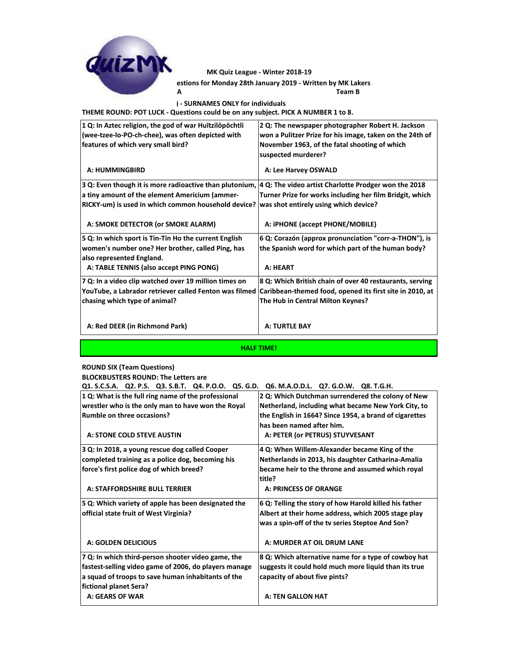

**Team A Team B** estions for Monday 28th January 2019 - Written by MK Lakers **MK Quiz League - Winter 2018-19**

**ROUND FIVE (Team Questions) - SURNAMES ONLY for individuals**

**THEME ROUND: POT LUCK - Questions could be on any subject. PICK A NUMBER 1 to 8.**

| 1 Q: In Aztec religion, the god of war Huitzilopochtli<br>(wee-tzee-lo-PO-ch-chee), was often depicted with   | 2 Q: The newspaper photographer Robert H. Jackson<br>won a Pulitzer Prize for his image, taken on the 24th of |
|---------------------------------------------------------------------------------------------------------------|---------------------------------------------------------------------------------------------------------------|
| features of which very small bird?                                                                            | November 1963, of the fatal shooting of which                                                                 |
|                                                                                                               | suspected murderer?                                                                                           |
|                                                                                                               |                                                                                                               |
| A: HUMMINGBIRD                                                                                                | A: Lee Harvey OSWALD                                                                                          |
| 3 Q: Even though it is more radioactive than plutonium,  4 Q: The video artist Charlotte Prodger won the 2018 |                                                                                                               |
| a tiny amount of the element Americium (ammer-                                                                | Turner Prize for works including her film Bridgit, which                                                      |
| RICKY-um) is used in which common household device?                                                           | was shot entirely using which device?                                                                         |
|                                                                                                               |                                                                                                               |
| A: SMOKE DETECTOR (or SMOKE ALARM)                                                                            | A: iPHONE (accept PHONE/MOBILE)                                                                               |
| 5 Q: In which sport is Tin-Tin Ho the current English                                                         | 6 Q: Corazón (approx pronunciation "corr-a-THON"), is                                                         |
| women's number one? Her brother, called Ping, has                                                             | the Spanish word for which part of the human body?                                                            |
| also represented England.                                                                                     |                                                                                                               |
| A: TABLE TENNIS (also accept PING PONG)                                                                       | A: HEART                                                                                                      |
| 7 Q: In a video clip watched over 19 million times on                                                         | 8 Q: Which British chain of over 40 restaurants, serving                                                      |
| YouTube, a Labrador retriever called Fenton was filmed                                                        | Caribbean-themed food, opened its first site in 2010, at                                                      |
| chasing which type of animal?                                                                                 | The Hub in Central Milton Keynes?                                                                             |
|                                                                                                               |                                                                                                               |
|                                                                                                               |                                                                                                               |
| A: Red DEER (in Richmond Park)                                                                                | <b>A: TURTLE BAY</b>                                                                                          |
|                                                                                                               |                                                                                                               |
| <b>HALF TIME!</b>                                                                                             |                                                                                                               |

## **ROUND SIX (Team Questions)**

**BLOCKBUSTERS ROUND: The Letters are**

**Q1. S.C.S.A. Q2. P.S. Q3. S.B.T. Q4. P.O.O. Q5. G.D. Q6. M.A.O.D.L. Q7. G.O.W. Q8. T.G.H.**

| 1 Q: What is the full ring name of the professional                          | 2 Q: Which Dutchman surrendered the colony of New           |
|------------------------------------------------------------------------------|-------------------------------------------------------------|
| wrestler who is the only man to have won the Royal                           | Netherland, including what became New York City, to         |
| Rumble on three occasions?                                                   | the English in 1664? Since 1954, a brand of cigarettes      |
|                                                                              | has been named after him.                                   |
| A: STONE COLD STEVE AUSTIN                                                   | A: PETER (or PETRUS) STUYVESANT                             |
| 3 Q: In 2018, a young rescue dog called Cooper                               | 4 Q: When Willem-Alexander became King of the               |
| completed training as a police dog, becoming his                             | Netherlands in 2013, his daughter Catharina-Amalia          |
| force's first police dog of which breed?                                     | became heir to the throne and assumed which royal<br>title? |
| A: STAFFORDSHIRE BULL TERRIER                                                | A: PRINCESS OF ORANGE                                       |
| 5 Q: Which variety of apple has been designated the                          | 6 Q: Telling the story of how Harold killed his father      |
| official state fruit of West Virginia?                                       | Albert at their home address, which 2005 stage play         |
|                                                                              | was a spin-off of the tv series Steptoe And Son?            |
| A: GOLDEN DELICIOUS                                                          | A: MURDER AT OIL DRUM LANE                                  |
| 7 Q: In which third-person shooter video game, the                           | 8 Q: Which alternative name for a type of cowboy hat        |
| fastest-selling video game of 2006, do players manage                        | suggests it could hold much more liquid than its true       |
| a squad of troops to save human inhabitants of the<br>fictional planet Sera? | capacity of about five pints?                               |
| <b>A: GEARS OF WAR</b>                                                       | <b>A: TEN GALLON HAT</b>                                    |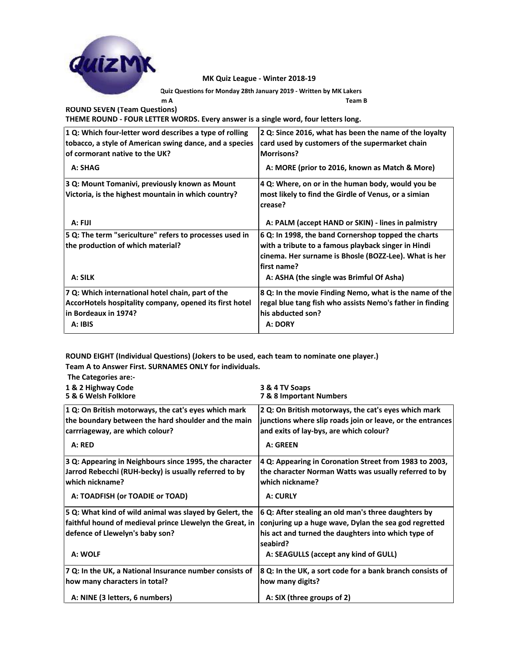

**- Quiz Questions for Monday 28th January 2019 - Written by MK Lakers**

**Team A Team B**

**ROUND SEVEN (Team Questions) THEME ROUND - FOUR LETTER WORDS. Every answer is a single word, four letters long.**

| 1 Q: Which four-letter word describes a type of rolling<br>tobacco, a style of American swing dance, and a species                              | 2 Q: Since 2016, what has been the name of the loyalty<br>card used by customers of the supermarket chain                                                                                 |
|-------------------------------------------------------------------------------------------------------------------------------------------------|-------------------------------------------------------------------------------------------------------------------------------------------------------------------------------------------|
| of cormorant native to the UK?                                                                                                                  | <b>Morrisons?</b>                                                                                                                                                                         |
| A: SHAG                                                                                                                                         | A: MORE (prior to 2016, known as Match & More)                                                                                                                                            |
| 3 Q: Mount Tomanivi, previously known as Mount                                                                                                  | 4 Q: Where, on or in the human body, would you be                                                                                                                                         |
| Victoria, is the highest mountain in which country?                                                                                             | most likely to find the Girdle of Venus, or a simian<br>crease?                                                                                                                           |
| A: FIJI                                                                                                                                         | A: PALM (accept HAND or SKIN) - lines in palmistry                                                                                                                                        |
| 5 Q: The term "sericulture" refers to processes used in<br>the production of which material?                                                    | 6 Q: In 1998, the band Cornershop topped the charts<br>with a tribute to a famous playback singer in Hindi<br>cinema. Her surname is Bhosle (BOZZ-Lee). What is her<br><b>first name?</b> |
| A: SILK                                                                                                                                         | A: ASHA (the single was Brimful Of Asha)                                                                                                                                                  |
| 7 Q: Which international hotel chain, part of the<br>AccorHotels hospitality company, opened its first hotel<br>in Bordeaux in 1974?<br>A: IBIS | 8 Q: In the movie Finding Nemo, what is the name of the<br>regal blue tang fish who assists Nemo's father in finding<br>his abducted son?<br>A: DORY                                      |
|                                                                                                                                                 |                                                                                                                                                                                           |

**ROUND EIGHT (Individual Questions) (Jokers to be used, each team to nominate one player.) Team A to Answer First. SURNAMES ONLY for individuals.**

| The Categories are:-                                                                                                                                              |                                                                                                                                                                                                                          |
|-------------------------------------------------------------------------------------------------------------------------------------------------------------------|--------------------------------------------------------------------------------------------------------------------------------------------------------------------------------------------------------------------------|
| 1 & 2 Highway Code                                                                                                                                                | 3 & 4 TV Soaps                                                                                                                                                                                                           |
| 5 & 6 Welsh Folklore                                                                                                                                              | 7 & 8 Important Numbers                                                                                                                                                                                                  |
| 1 Q: On British motorways, the cat's eyes which mark                                                                                                              | 2 Q: On British motorways, the cat's eyes which mark                                                                                                                                                                     |
| the boundary between the hard shoulder and the main                                                                                                               | junctions where slip roads join or leave, or the entrances                                                                                                                                                               |
| carrriageway, are which colour?                                                                                                                                   | and exits of lay-bys, are which colour?                                                                                                                                                                                  |
| A: RED                                                                                                                                                            | A: GREEN                                                                                                                                                                                                                 |
| 3 Q: Appearing in Neighbours since 1995, the character                                                                                                            | 4 Q: Appearing in Coronation Street from 1983 to 2003,                                                                                                                                                                   |
| Jarrod Rebecchi (RUH-becky) is usually referred to by                                                                                                             | the character Norman Watts was usually referred to by                                                                                                                                                                    |
| which nickname?                                                                                                                                                   | which nickname?                                                                                                                                                                                                          |
| A: TOADFISH (or TOADIE or TOAD)                                                                                                                                   | A: CURLY                                                                                                                                                                                                                 |
| 5 Q: What kind of wild animal was slayed by Gelert, the<br>faithful hound of medieval prince Llewelyn the Great, in<br>defence of Llewelyn's baby son?<br>A: WOLF | 6 Q: After stealing an old man's three daughters by<br>conjuring up a huge wave, Dylan the sea god regretted<br>his act and turned the daughters into which type of<br>seabird?<br>A: SEAGULLS (accept any kind of GULL) |
| 7 Q: In the UK, a National Insurance number consists of                                                                                                           | 8 Q: In the UK, a sort code for a bank branch consists of                                                                                                                                                                |
| how many characters in total?                                                                                                                                     | how many digits?                                                                                                                                                                                                         |
| A: NINE (3 letters, 6 numbers)                                                                                                                                    | A: SIX (three groups of 2)                                                                                                                                                                                               |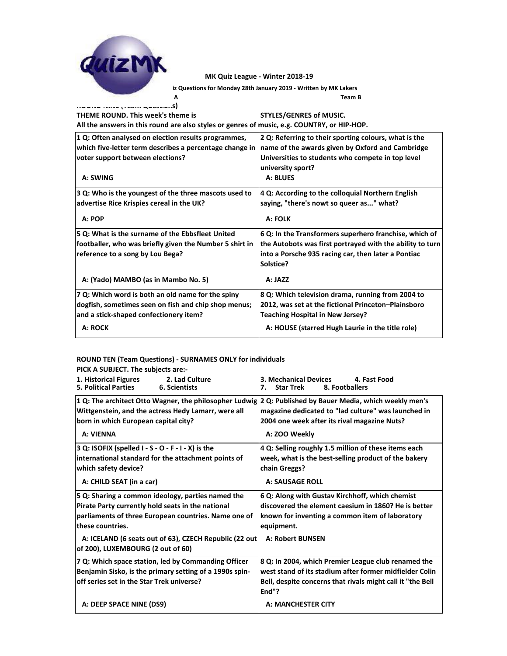**Team A Team B - Quiz Questions for Monday 28th January 2019 - Written by MK Lakers**

**ROUND NINE (Team Questions) THEME ROUND. This week's theme is**  $\blacksquare$  **Pick a strip is strip in the STYLES/GENRES of MUSIC. All the answers in this round are also styles or genres of music, e.g. COUNTRY, or HIP-HOP. 1 Q: Often analysed on election results programmes, which five-letter term describes a percentage change in voter support between elections? 2 Q: Referring to their sporting colours, what is the name of the awards given by Oxford and Cambridge Universities to students who compete in top level university sport? A: SWING A: BLUES 3 Q: Who is the youngest of the three mascots used to advertise Rice Krispies cereal in the UK? 4 Q: According to the colloquial Northern English saying, "there's nowt so queer as..." what?** A: POP **A: FOLK 5 Q: What is the surname of the Ebbsfleet United footballer, who was briefly given the Number 5 shirt in reference to a song by Lou Bega? 6 Q: In the Transformers superhero franchise, which of the Autobots was first portrayed with the ability to turn into a Porsche 935 racing car, then later a Pontiac Solstice?** A: (Yado) MAMBO (as in Mambo No. 5) **A: JAZZ 7 Q: Which word is both an old name for the spiny dogfish, sometimes seen on fish and chip shop menus; and a stick-shaped confectionery item? 8 Q: Which television drama, running from 2004 to 2012, was set at the fictional Princeton–Plainsboro Teaching Hospital in New Jersey?** A: ROCK **A: ROCK A: HOUSE (starred Hugh Laurie in the title role)** 

## **ROUND TEN (Team Questions) - SURNAMES ONLY for individuals**

**PICK A SUBJECT. The subjects are:-**

| 1. Historical Figures<br>2. Lad Culture<br><b>5. Political Parties</b><br>6. Scientists                                                                                                                 | <b>3. Mechanical Devices</b><br>4. Fast Food<br>8. Footballers<br><b>Star Trek</b><br>7.                                                                                 |
|---------------------------------------------------------------------------------------------------------------------------------------------------------------------------------------------------------|--------------------------------------------------------------------------------------------------------------------------------------------------------------------------|
| 1 Q: The architect Otto Wagner, the philosopher Ludwig 2 Q: Published by Bauer Media, which weekly men's<br>Wittgenstein, and the actress Hedy Lamarr, were all<br>born in which European capital city? | magazine dedicated to "lad culture" was launched in<br>2004 one week after its rival magazine Nuts?                                                                      |
| A: VIENNA                                                                                                                                                                                               | A: ZOO Weekly                                                                                                                                                            |
| $ 3 Q$ : ISOFIX (spelled I - S - O - F - I - X) is the<br>international standard for the attachment points of<br>which safety device?                                                                   | 4 Q: Selling roughly 1.5 million of these items each<br>week, what is the best-selling product of the bakery<br>chain Greggs?                                            |
| A: CHILD SEAT (in a car)                                                                                                                                                                                | <b>A: SAUSAGE ROLL</b>                                                                                                                                                   |
| 5 Q: Sharing a common ideology, parties named the<br>Pirate Party currently hold seats in the national<br>parliaments of three European countries. Name one of<br>these countries.                      | 6 Q: Along with Gustav Kirchhoff, which chemist<br>discovered the element caesium in 1860? He is better<br>known for inventing a common item of laboratory<br>equipment. |
| A: ICELAND (6 seats out of 63), CZECH Republic (22 out<br>of 200), LUXEMBOURG (2 out of 60)                                                                                                             | <b>A: Robert BUNSEN</b>                                                                                                                                                  |
| 7 Q: Which space station, led by Commanding Officer                                                                                                                                                     | 8 Q: In 2004, which Premier League club renamed the                                                                                                                      |
| Benjamin Sisko, is the primary setting of a 1990s spin-                                                                                                                                                 | west stand of its stadium after former midfielder Colin                                                                                                                  |
| off series set in the Star Trek universe?                                                                                                                                                               | Bell, despite concerns that rivals might call it "the Bell<br>End"?                                                                                                      |
| A: DEEP SPACE NINE (DS9)                                                                                                                                                                                | <b>A: MANCHESTER CITY</b>                                                                                                                                                |